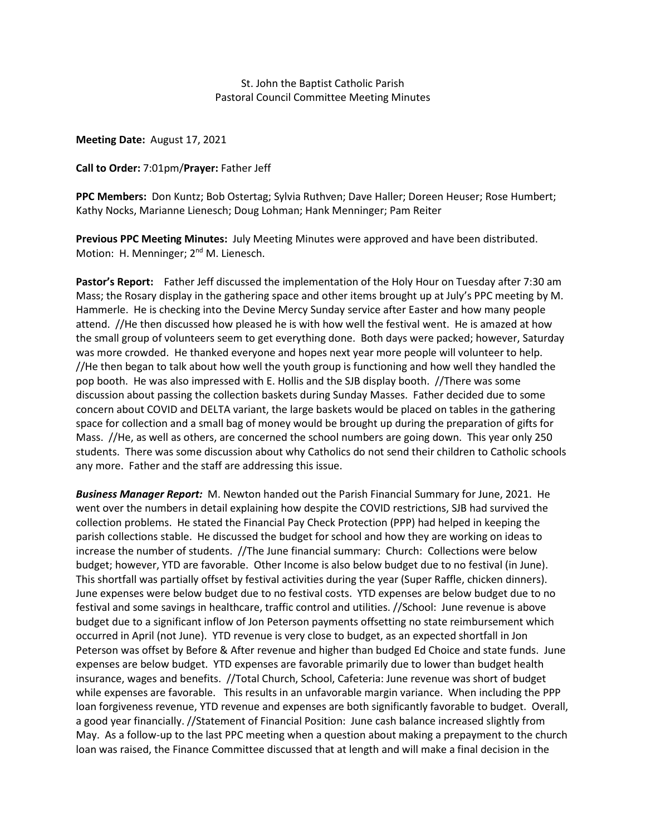#### St. John the Baptist Catholic Parish Pastoral Council Committee Meeting Minutes

**Meeting Date:** August 17, 2021

#### **Call to Order:** 7:01pm/**Prayer:** Father Jeff

**PPC Members:** Don Kuntz; Bob Ostertag; Sylvia Ruthven; Dave Haller; Doreen Heuser; Rose Humbert; Kathy Nocks, Marianne Lienesch; Doug Lohman; Hank Menninger; Pam Reiter

**Previous PPC Meeting Minutes:** July Meeting Minutes were approved and have been distributed. Motion: H. Menninger; 2<sup>nd</sup> M. Lienesch.

**Pastor's Report:** Father Jeff discussed the implementation of the Holy Hour on Tuesday after 7:30 am Mass; the Rosary display in the gathering space and other items brought up at July's PPC meeting by M. Hammerle. He is checking into the Devine Mercy Sunday service after Easter and how many people attend. //He then discussed how pleased he is with how well the festival went. He is amazed at how the small group of volunteers seem to get everything done. Both days were packed; however, Saturday was more crowded. He thanked everyone and hopes next year more people will volunteer to help. //He then began to talk about how well the youth group is functioning and how well they handled the pop booth. He was also impressed with E. Hollis and the SJB display booth. //There was some discussion about passing the collection baskets during Sunday Masses. Father decided due to some concern about COVID and DELTA variant, the large baskets would be placed on tables in the gathering space for collection and a small bag of money would be brought up during the preparation of gifts for Mass. //He, as well as others, are concerned the school numbers are going down. This year only 250 students. There was some discussion about why Catholics do not send their children to Catholic schools any more. Father and the staff are addressing this issue.

*Business Manager Report:* M. Newton handed out the Parish Financial Summary for June, 2021. He went over the numbers in detail explaining how despite the COVID restrictions, SJB had survived the collection problems. He stated the Financial Pay Check Protection (PPP) had helped in keeping the parish collections stable. He discussed the budget for school and how they are working on ideas to increase the number of students. //The June financial summary: Church: Collections were below budget; however, YTD are favorable. Other Income is also below budget due to no festival (in June). This shortfall was partially offset by festival activities during the year (Super Raffle, chicken dinners). June expenses were below budget due to no festival costs. YTD expenses are below budget due to no festival and some savings in healthcare, traffic control and utilities. //School: June revenue is above budget due to a significant inflow of Jon Peterson payments offsetting no state reimbursement which occurred in April (not June). YTD revenue is very close to budget, as an expected shortfall in Jon Peterson was offset by Before & After revenue and higher than budged Ed Choice and state funds. June expenses are below budget. YTD expenses are favorable primarily due to lower than budget health insurance, wages and benefits. //Total Church, School, Cafeteria: June revenue was short of budget while expenses are favorable. This results in an unfavorable margin variance. When including the PPP loan forgiveness revenue, YTD revenue and expenses are both significantly favorable to budget. Overall, a good year financially. //Statement of Financial Position: June cash balance increased slightly from May. As a follow-up to the last PPC meeting when a question about making a prepayment to the church loan was raised, the Finance Committee discussed that at length and will make a final decision in the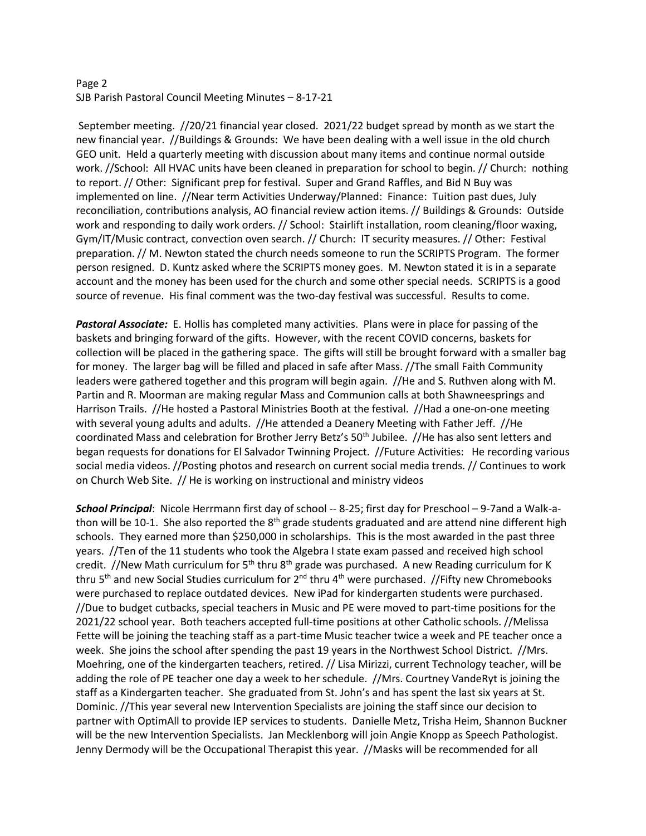## Page 2 SJB Parish Pastoral Council Meeting Minutes – 8-17-21

September meeting. //20/21 financial year closed. 2021/22 budget spread by month as we start the new financial year. //Buildings & Grounds: We have been dealing with a well issue in the old church GEO unit. Held a quarterly meeting with discussion about many items and continue normal outside work. //School: All HVAC units have been cleaned in preparation for school to begin. // Church: nothing to report. // Other: Significant prep for festival. Super and Grand Raffles, and Bid N Buy was implemented on line. //Near term Activities Underway/Planned: Finance: Tuition past dues, July reconciliation, contributions analysis, AO financial review action items. // Buildings & Grounds: Outside work and responding to daily work orders. // School: Stairlift installation, room cleaning/floor waxing, Gym/IT/Music contract, convection oven search. // Church: IT security measures. // Other: Festival preparation. // M. Newton stated the church needs someone to run the SCRIPTS Program. The former person resigned. D. Kuntz asked where the SCRIPTS money goes. M. Newton stated it is in a separate account and the money has been used for the church and some other special needs. SCRIPTS is a good source of revenue. His final comment was the two-day festival was successful. Results to come.

*Pastoral Associate:* E. Hollis has completed many activities. Plans were in place for passing of the baskets and bringing forward of the gifts. However, with the recent COVID concerns, baskets for collection will be placed in the gathering space. The gifts will still be brought forward with a smaller bag for money. The larger bag will be filled and placed in safe after Mass. //The small Faith Community leaders were gathered together and this program will begin again. //He and S. Ruthven along with M. Partin and R. Moorman are making regular Mass and Communion calls at both Shawneesprings and Harrison Trails. //He hosted a Pastoral Ministries Booth at the festival. //Had a one-on-one meeting with several young adults and adults. //He attended a Deanery Meeting with Father Jeff. //He coordinated Mass and celebration for Brother Jerry Betz's  $50<sup>th</sup>$  Jubilee. //He has also sent letters and began requests for donations for El Salvador Twinning Project. //Future Activities: He recording various social media videos. //Posting photos and research on current social media trends. // Continues to work on Church Web Site. // He is working on instructional and ministry videos

*School Principal*: Nicole Herrmann first day of school -- 8-25; first day for Preschool – 9-7and a Walk-athon will be 10-1. She also reported the 8<sup>th</sup> grade students graduated and are attend nine different high schools. They earned more than \$250,000 in scholarships. This is the most awarded in the past three years. //Ten of the 11 students who took the Algebra I state exam passed and received high school credit. //New Math curriculum for  $5<sup>th</sup>$  thru  $8<sup>th</sup>$  grade was purchased. A new Reading curriculum for K thru 5<sup>th</sup> and new Social Studies curriculum for  $2^{nd}$  thru 4<sup>th</sup> were purchased. //Fifty new Chromebooks were purchased to replace outdated devices. New iPad for kindergarten students were purchased. //Due to budget cutbacks, special teachers in Music and PE were moved to part-time positions for the 2021/22 school year. Both teachers accepted full-time positions at other Catholic schools. //Melissa Fette will be joining the teaching staff as a part-time Music teacher twice a week and PE teacher once a week. She joins the school after spending the past 19 years in the Northwest School District. //Mrs. Moehring, one of the kindergarten teachers, retired. // Lisa Mirizzi, current Technology teacher, will be adding the role of PE teacher one day a week to her schedule. //Mrs. Courtney VandeRyt is joining the staff as a Kindergarten teacher. She graduated from St. John's and has spent the last six years at St. Dominic. //This year several new Intervention Specialists are joining the staff since our decision to partner with OptimAll to provide IEP services to students. Danielle Metz, Trisha Heim, Shannon Buckner will be the new Intervention Specialists. Jan Mecklenborg will join Angie Knopp as Speech Pathologist. Jenny Dermody will be the Occupational Therapist this year. //Masks will be recommended for all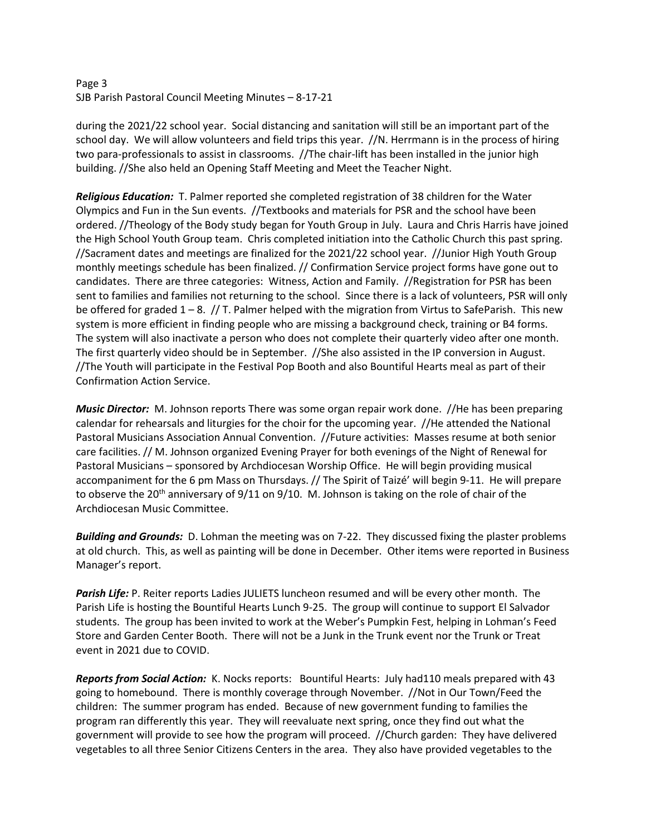# Page 3 SJB Parish Pastoral Council Meeting Minutes – 8-17-21

during the 2021/22 school year. Social distancing and sanitation will still be an important part of the school day. We will allow volunteers and field trips this year. //N. Herrmann is in the process of hiring two para-professionals to assist in classrooms. //The chair-lift has been installed in the junior high building. //She also held an Opening Staff Meeting and Meet the Teacher Night.

*Religious Education:* T. Palmer reported she completed registration of 38 children for the Water Olympics and Fun in the Sun events. //Textbooks and materials for PSR and the school have been ordered. //Theology of the Body study began for Youth Group in July. Laura and Chris Harris have joined the High School Youth Group team. Chris completed initiation into the Catholic Church this past spring. //Sacrament dates and meetings are finalized for the 2021/22 school year. //Junior High Youth Group monthly meetings schedule has been finalized. // Confirmation Service project forms have gone out to candidates. There are three categories: Witness, Action and Family. //Registration for PSR has been sent to families and families not returning to the school. Since there is a lack of volunteers, PSR will only be offered for graded  $1 - 8$ . // T. Palmer helped with the migration from Virtus to SafeParish. This new system is more efficient in finding people who are missing a background check, training or B4 forms. The system will also inactivate a person who does not complete their quarterly video after one month. The first quarterly video should be in September. //She also assisted in the IP conversion in August. //The Youth will participate in the Festival Pop Booth and also Bountiful Hearts meal as part of their Confirmation Action Service.

*Music Director:* M. Johnson reports There was some organ repair work done. //He has been preparing calendar for rehearsals and liturgies for the choir for the upcoming year. //He attended the National Pastoral Musicians Association Annual Convention. //Future activities: Masses resume at both senior care facilities. // M. Johnson organized Evening Prayer for both evenings of the Night of Renewal for Pastoral Musicians – sponsored by Archdiocesan Worship Office. He will begin providing musical accompaniment for the 6 pm Mass on Thursdays. // The Spirit of Taizé' will begin 9-11. He will prepare to observe the 20<sup>th</sup> anniversary of 9/11 on 9/10. M. Johnson is taking on the role of chair of the Archdiocesan Music Committee.

*Building and Grounds:* D. Lohman the meeting was on 7-22. They discussed fixing the plaster problems at old church. This, as well as painting will be done in December. Other items were reported in Business Manager's report.

*Parish Life:* P. Reiter reports Ladies JULIETS luncheon resumed and will be every other month. The Parish Life is hosting the Bountiful Hearts Lunch 9-25. The group will continue to support El Salvador students. The group has been invited to work at the Weber's Pumpkin Fest, helping in Lohman's Feed Store and Garden Center Booth. There will not be a Junk in the Trunk event nor the Trunk or Treat event in 2021 due to COVID.

*Reports from Social Action:* K. Nocks reports: Bountiful Hearts: July had110 meals prepared with 43 going to homebound. There is monthly coverage through November. //Not in Our Town/Feed the children: The summer program has ended. Because of new government funding to families the program ran differently this year. They will reevaluate next spring, once they find out what the government will provide to see how the program will proceed. //Church garden: They have delivered vegetables to all three Senior Citizens Centers in the area. They also have provided vegetables to the